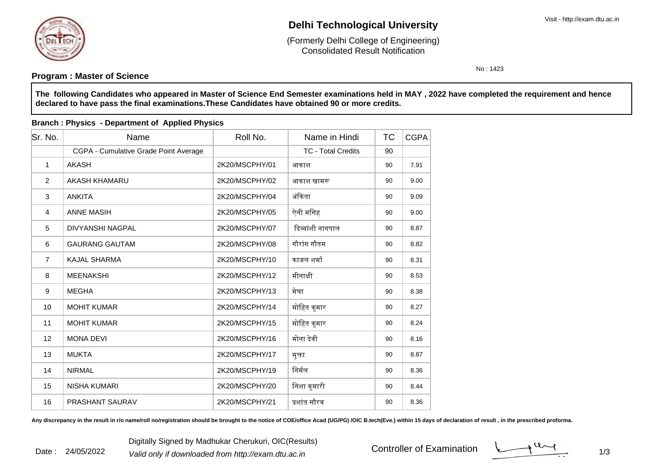

# **Delhi Technological University**

Consolidated Result Notification(Formerly Delhi College of Engineering)

No : 1423

### **Program : Master of Science**

**The following Candidates who appeared in Master of Science End Semester examinations held in MAY , 2022 have completed the requirement and hencedeclared to have pass the final examinations.These Candidates have obtained 90 or more credits.**

| Sr. No.        | Name                                  | Roll No.       | Name in Hindi             | <b>TC</b> | <b>CGPA</b> |
|----------------|---------------------------------------|----------------|---------------------------|-----------|-------------|
|                | CGPA - Cumulative Grade Point Average |                | <b>TC - Total Credits</b> | 90        |             |
| $\mathbf{1}$   | <b>AKASH</b>                          | 2K20/MSCPHY/01 | आकाश                      | 90        | 7.91        |
| 2              | AKASH KHAMARU                         | 2K20/MSCPHY/02 | आकाश खामरू                | 90        | 9.00        |
| 3              | <b>ANKITA</b>                         | 2K20/MSCPHY/04 | अंकिता                    | 90        | 9.09        |
| 4              | <b>ANNE MASIH</b>                     | 2K20/MSCPHY/05 | ऐनी मसिह                  | 90        | 9.00        |
| 5              | <b>DIVYANSHI NAGPAL</b>               | 2K20/MSCPHY/07 | दिव्यांशी नागपाल          | 90        | 8.87        |
| 6              | <b>GAURANG GAUTAM</b>                 | 2K20/MSCPHY/08 | गौरांग गौतम               | 90        | 8.82        |
| $\overline{7}$ | <b>KAJAL SHARMA</b>                   | 2K20/MSCPHY/10 | काजल शर्मा                | 90        | 8.31        |
| 8              | <b>MEENAKSHI</b>                      | 2K20/MSCPHY/12 | मीनाक्षी                  | 90        | 8.53        |
| 9              | <b>MEGHA</b>                          | 2K20/MSCPHY/13 | मेघा                      | 90        | 8.38        |
| 10             | <b>MOHIT KUMAR</b>                    | 2K20/MSCPHY/14 | मोहित कुमार               | 90        | 8.27        |
| 11             | <b>MOHIT KUMAR</b>                    | 2K20/MSCPHY/15 | मोहित कुमार               | 90        | 8.24        |
| 12             | <b>MONA DEVI</b>                      | 2K20/MSCPHY/16 | मोना देवी                 | 90        | 8.16        |
| 13             | <b>MUKTA</b>                          | 2K20/MSCPHY/17 | मुक्ता                    | 90        | 8.87        |
| 14             | <b>NIRMAL</b>                         | 2K20/MSCPHY/19 | निर्मल                    | 90        | 8.36        |
| 15             | <b>NISHA KUMARI</b>                   | 2K20/MSCPHY/20 | निशा कुमारी               | 90        | 8.44        |
| 16             | PRASHANT SAURAV                       | 2K20/MSCPHY/21 | प्रशांत सौरव              | 90        | 8.36        |

### **Branch : Physics - Department of Applied Physics**

Any discrepancy in the result in r/o name/roll no/registration should be brought to the notice of COE/office Acad (UG/PG) /OIC B.tech(Eve.) within 15 days of declaration of result , in the prescribed proforma.

Controller of Examination

 $1/3$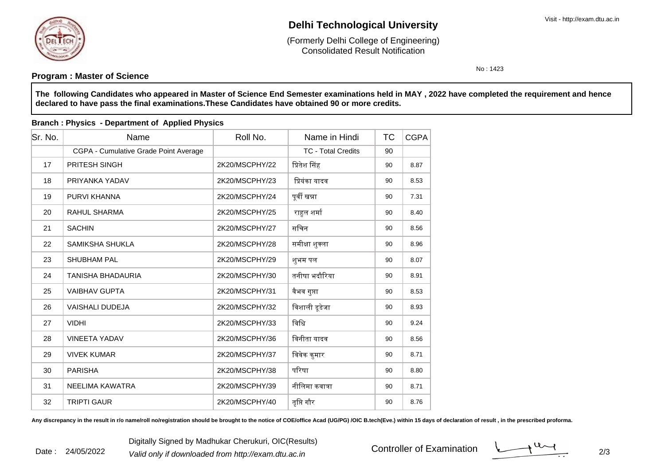

# **Delhi Technological University**

Consolidated Result Notification(Formerly Delhi College of Engineering)

No : 1423

### **Program : Master of Science**

**The following Candidates who appeared in Master of Science End Semester examinations held in MAY , 2022 have completed the requirement and hencedeclared to have pass the final examinations.These Candidates have obtained 90 or more credits.**

| Sr. No. | Name                                  | Roll No.       | Name in Hindi             | <b>TC</b> | <b>CGPA</b> |
|---------|---------------------------------------|----------------|---------------------------|-----------|-------------|
|         | CGPA - Cumulative Grade Point Average |                | <b>TC - Total Credits</b> | 90        |             |
| 17      | <b>PRITESH SINGH</b>                  | 2K20/MSCPHY/22 | प्रितेश सिंह              | 90        | 8.87        |
| 18      | PRIYANKA YADAV                        | 2K20/MSCPHY/23 | प्रियंका यादव             | 90        | 8.53        |
| 19      | PURVI KHANNA                          | 2K20/MSCPHY/24 | पूर्वी खन्ना              | 90        | 7.31        |
| 20      | <b>RAHUL SHARMA</b>                   | 2K20/MSCPHY/25 | राहुल शर्मा               | 90        | 8.40        |
| 21      | <b>SACHIN</b>                         | 2K20/MSCPHY/27 | सचिन                      | 90        | 8.56        |
| 22      | <b>SAMIKSHA SHUKLA</b>                | 2K20/MSCPHY/28 | समीक्षा शुक्ला            | 90        | 8.96        |
| 23      | <b>SHUBHAM PAL</b>                    | 2K20/MSCPHY/29 | शुभम पल                   | 90        | 8.07        |
| 24      | <b>TANISHA BHADAURIA</b>              | 2K20/MSCPHY/30 | तनीषा भदौरिया             | 90        | 8.91        |
| 25      | <b>VAIBHAV GUPTA</b>                  | 2K20/MSCPHY/31 | वैभव गुप्ता               | 90        | 8.53        |
| 26      | <b>VAISHALI DUDEJA</b>                | 2K20/MSCPHY/32 | विशाली डूडेजा             | 90        | 8.93        |
| 27      | <b>VIDHI</b>                          | 2K20/MSCPHY/33 | विधि                      | 90        | 9.24        |
| 28      | <b>VINEETA YADAV</b>                  | 2K20/MSCPHY/36 | विनीता यादव               | 90        | 8.56        |
| 29      | <b>VIVEK KUMAR</b>                    | 2K20/MSCPHY/37 | विवेक कुमार               | 90        | 8.71        |
| 30      | <b>PARISHA</b>                        | 2K20/MSCPHY/38 | परिषा                     | 90        | 8.80        |
| 31      | NEELIMA KAWATRA                       | 2K20/MSCPHY/39 | नीलिमा कवात्रा            | 90        | 8.71        |
| 32      | <b>TRIPTI GAUR</b>                    | 2K20/MSCPHY/40 | तृप्ति गौर                | 90        | 8.76        |

### **Branch : Physics - Department of Applied Physics**

Any discrepancy in the result in r/o name/roll no/registration should be brought to the notice of COE/office Acad (UG/PG) /OIC B.tech(Eve.) within 15 days of declaration of result, in the prescribed proforma.

Controller of Examination

 $\frac{1}{2}$  2/3